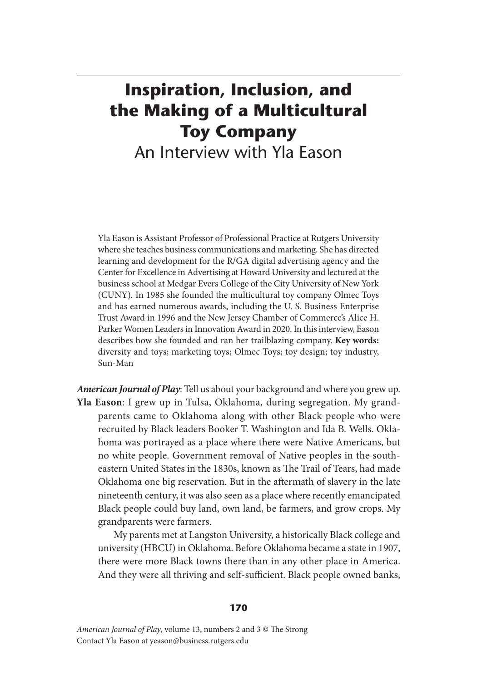## **Inspiration, Inclusion, and the Making of a Multicultural Toy Company** An Interview with Yla Eason

Yla Eason is Assistant Professor of Professional Practice at Rutgers University where she teaches business communications and marketing. She has directed learning and development for the R/GA digital advertising agency and the Center for Excellence in Advertising at Howard University and lectured at the business school at Medgar Evers College of the City University of New York (CUNY). In 1985 she founded the multicultural toy company Olmec Toys and has earned numerous awards, including the U. S. Business Enterprise Trust Award in 1996 and the New Jersey Chamber of Commerce's Alice H. Parker Women Leaders in Innovation Award in 2020. In this interview, Eason describes how she founded and ran her trailblazing company. **Key words:**  diversity and toys; marketing toys; Olmec Toys; toy design; toy industry, Sun-Man

*American Journal of Play*: Tell us about your background and where you grew up. **Yla Eason**: I grew up in Tulsa, Oklahoma, during segregation. My grandparents came to Oklahoma along with other Black people who were recruited by Black leaders Booker T. Washington and Ida B. Wells. Oklahoma was portrayed as a place where there were Native Americans, but no white people. Government removal of Native peoples in the southeastern United States in the 1830s, known as The Trail of Tears, had made Oklahoma one big reservation. But in the aftermath of slavery in the late nineteenth century, it was also seen as a place where recently emancipated Black people could buy land, own land, be farmers, and grow crops. My grandparents were farmers.

 My parents met at Langston University, a historically Black college and university (HBCU) in Oklahoma. Before Oklahoma became a state in 1907, there were more Black towns there than in any other place in America. And they were all thriving and self-sufficient. Black people owned banks,

## **170**

*American Journal of Play*, volume 13, numbers 2 and 3 © The Strong Contact Yla Eason at yeason@business.rutgers.edu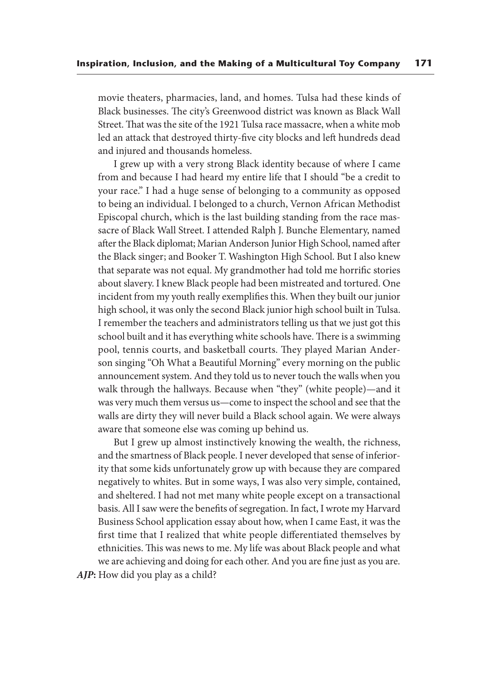movie theaters, pharmacies, land, and homes. Tulsa had these kinds of Black businesses. The city's Greenwood district was known as Black Wall Street. That was the site of the 1921 Tulsa race massacre, when a white mob led an attack that destroyed thirty-five city blocks and left hundreds dead and injured and thousands homeless.

 I grew up with a very strong Black identity because of where I came from and because I had heard my entire life that I should "be a credit to your race." I had a huge sense of belonging to a community as opposed to being an individual. I belonged to a church, Vernon African Methodist Episcopal church, which is the last building standing from the race massacre of Black Wall Street. I attended Ralph J. Bunche Elementary, named after the Black diplomat; Marian Anderson Junior High School, named after the Black singer; and Booker T. Washington High School. But I also knew that separate was not equal. My grandmother had told me horrific stories about slavery. I knew Black people had been mistreated and tortured. One incident from my youth really exemplifies this. When they built our junior high school, it was only the second Black junior high school built in Tulsa. I remember the teachers and administrators telling us that we just got this school built and it has everything white schools have. There is a swimming pool, tennis courts, and basketball courts. They played Marian Anderson singing "Oh What a Beautiful Morning" every morning on the public announcement system. And they told us to never touch the walls when you walk through the hallways. Because when "they" (white people)—and it was very much them versus us—come to inspect the school and see that the walls are dirty they will never build a Black school again. We were always aware that someone else was coming up behind us.

 But I grew up almost instinctively knowing the wealth, the richness, and the smartness of Black people. I never developed that sense of inferiority that some kids unfortunately grow up with because they are compared negatively to whites. But in some ways, I was also very simple, contained, and sheltered. I had not met many white people except on a transactional basis. All I saw were the benefits of segregation. In fact, I wrote my Harvard Business School application essay about how, when I came East, it was the first time that I realized that white people differentiated themselves by ethnicities. This was news to me. My life was about Black people and what we are achieving and doing for each other. And you are fine just as you are. AJP: How did you play as a child?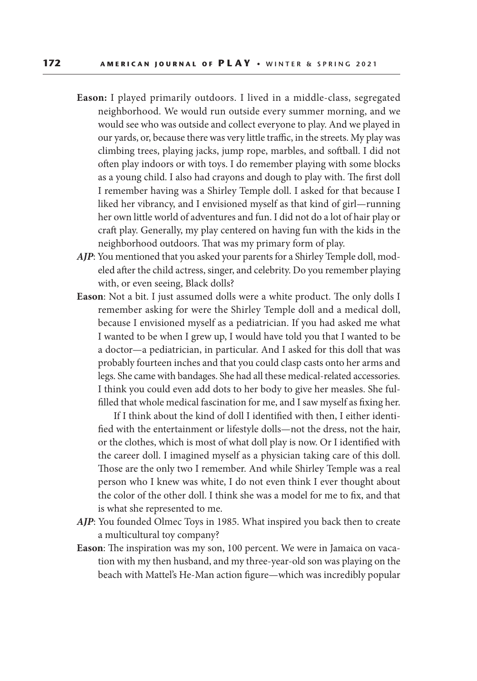- **Eason:** I played primarily outdoors. I lived in a middle-class, segregated neighborhood. We would run outside every summer morning, and we would see who was outside and collect everyone to play. And we played in our yards, or, because there was very little traffic, in the streets. My play was climbing trees, playing jacks, jump rope, marbles, and softball. I did not often play indoors or with toys. I do remember playing with some blocks as a young child. I also had crayons and dough to play with. The first doll I remember having was a Shirley Temple doll. I asked for that because I liked her vibrancy, and I envisioned myself as that kind of girl—running her own little world of adventures and fun. I did not do a lot of hair play or craft play. Generally, my play centered on having fun with the kids in the neighborhood outdoors. That was my primary form of play.
- *AJP*: You mentioned that you asked your parents for a Shirley Temple doll, modeled after the child actress, singer, and celebrity. Do you remember playing with, or even seeing, Black dolls?
- **Eason**: Not a bit. I just assumed dolls were a white product. The only dolls I remember asking for were the Shirley Temple doll and a medical doll, because I envisioned myself as a pediatrician. If you had asked me what I wanted to be when I grew up, I would have told you that I wanted to be a doctor—a pediatrician, in particular. And I asked for this doll that was probably fourteen inches and that you could clasp casts onto her arms and legs. She came with bandages. She had all these medical-related accessories. I think you could even add dots to her body to give her measles. She fulfilled that whole medical fascination for me, and I saw myself as fixing her.

 If I think about the kind of doll I identified with then, I either identified with the entertainment or lifestyle dolls—not the dress, not the hair, or the clothes, which is most of what doll play is now. Or I identified with the career doll. I imagined myself as a physician taking care of this doll. Those are the only two I remember. And while Shirley Temple was a real person who I knew was white, I do not even think I ever thought about the color of the other doll. I think she was a model for me to fix, and that is what she represented to me.

- *AJP*: You founded Olmec Toys in 1985. What inspired you back then to create a multicultural toy company?
- **Eason**: The inspiration was my son, 100 percent. We were in Jamaica on vacation with my then husband, and my three-year-old son was playing on the beach with Mattel's He-Man action figure—which was incredibly popular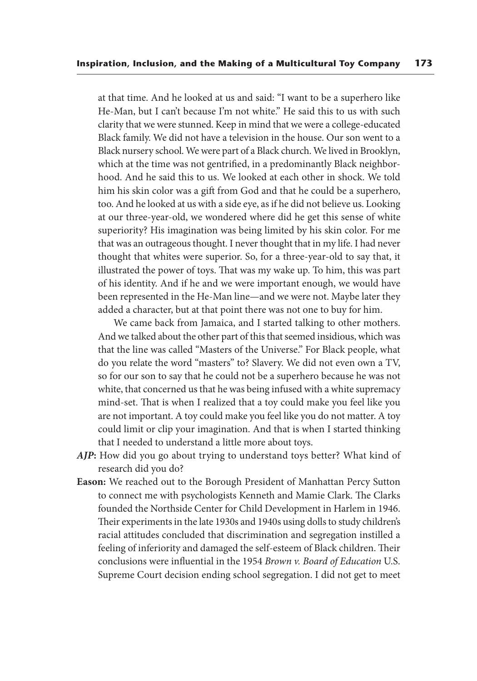at that time. And he looked at us and said: "I want to be a superhero like He-Man, but I can't because I'm not white." He said this to us with such clarity that we were stunned. Keep in mind that we were a college-educated Black family. We did not have a television in the house. Our son went to a Black nursery school. We were part of a Black church. We lived in Brooklyn, which at the time was not gentrified, in a predominantly Black neighborhood. And he said this to us. We looked at each other in shock. We told him his skin color was a gift from God and that he could be a superhero, too. And he looked at us with a side eye, as if he did not believe us. Looking at our three-year-old, we wondered where did he get this sense of white superiority? His imagination was being limited by his skin color. For me that was an outrageous thought. I never thought that in my life. I had never thought that whites were superior. So, for a three-year-old to say that, it illustrated the power of toys. That was my wake up. To him, this was part of his identity. And if he and we were important enough, we would have been represented in the He-Man line—and we were not. Maybe later they added a character, but at that point there was not one to buy for him.

 We came back from Jamaica, and I started talking to other mothers. And we talked about the other part of this that seemed insidious, which was that the line was called "Masters of the Universe." For Black people, what do you relate the word "masters" to? Slavery. We did not even own a TV, so for our son to say that he could not be a superhero because he was not white, that concerned us that he was being infused with a white supremacy mind-set. That is when I realized that a toy could make you feel like you are not important. A toy could make you feel like you do not matter. A toy could limit or clip your imagination. And that is when I started thinking that I needed to understand a little more about toys.

- *AJP***:** How did you go about trying to understand toys better? What kind of research did you do?
- **Eason:** We reached out to the Borough President of Manhattan Percy Sutton to connect me with psychologists Kenneth and Mamie Clark. The Clarks founded the Northside Center for Child Development in Harlem in 1946. Their experiments in the late 1930s and 1940s using dolls to study children's racial attitudes concluded that discrimination and segregation instilled a feeling of inferiority and damaged the self-esteem of Black children. Their conclusions were influential in the 1954 *Brown v. Board of Education* U.S. Supreme Court decision ending school segregation. I did not get to meet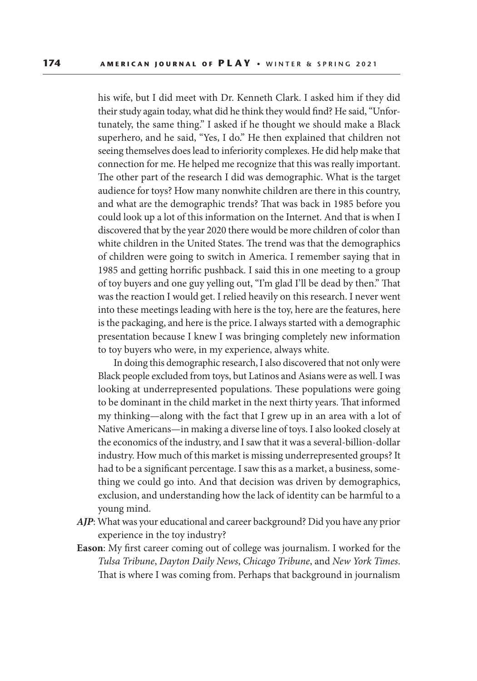his wife, but I did meet with Dr. Kenneth Clark. I asked him if they did their study again today, what did he think they would find? He said, "Unfortunately, the same thing." I asked if he thought we should make a Black superhero, and he said, "Yes, I do." He then explained that children not seeing themselves does lead to inferiority complexes. He did help make that connection for me. He helped me recognize that this was really important. The other part of the research I did was demographic. What is the target audience for toys? How many nonwhite children are there in this country, and what are the demographic trends? That was back in 1985 before you could look up a lot of this information on the Internet. And that is when I discovered that by the year 2020 there would be more children of color than white children in the United States. The trend was that the demographics of children were going to switch in America. I remember saying that in 1985 and getting horrific pushback. I said this in one meeting to a group of toy buyers and one guy yelling out, "I'm glad I'll be dead by then." That was the reaction I would get. I relied heavily on this research. I never went into these meetings leading with here is the toy, here are the features, here is the packaging, and here is the price. I always started with a demographic presentation because I knew I was bringing completely new information to toy buyers who were, in my experience, always white.

 In doing this demographic research, I also discovered that not only were Black people excluded from toys, but Latinos and Asians were as well. I was looking at underrepresented populations. These populations were going to be dominant in the child market in the next thirty years. That informed my thinking—along with the fact that I grew up in an area with a lot of Native Americans—in making a diverse line of toys. I also looked closely at the economics of the industry, and I saw that it was a several-billion-dollar industry. How much of this market is missing underrepresented groups? It had to be a significant percentage. I saw this as a market, a business, something we could go into. And that decision was driven by demographics, exclusion, and understanding how the lack of identity can be harmful to a young mind.

- *AJP*: What was your educational and career background? Did you have any prior experience in the toy industry?
- **Eason**: My first career coming out of college was journalism. I worked for the *Tulsa Tribune*, *Dayton Daily News*, *Chicago Tribune*, and *New York Times*. That is where I was coming from. Perhaps that background in journalism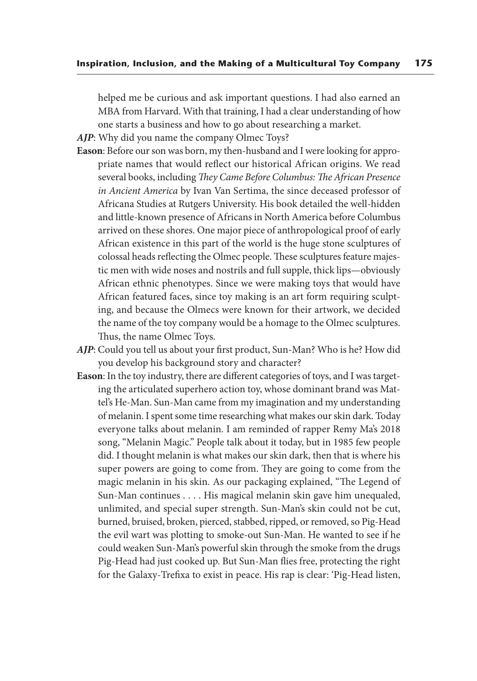helped me be curious and ask important questions. I had also earned an MBA from Harvard. With that training, I had a clear understanding of how one starts a business and how to go about researching a market.

*AJP*: Why did you name the company Olmec Toys?

- **Eason**: Before our son was born, my then-husband and I were looking for appropriate names that would reflect our historical African origins. We read several books, including *They Came Before Columbus: The African Presence in Ancient America* by Ivan Van Sertima, the since deceased professor of Africana Studies at Rutgers University. His book detailed the well-hidden and little-known presence of Africans in North America before Columbus arrived on these shores. One major piece of anthropological proof of early African existence in this part of the world is the huge stone sculptures of colossal heads reflecting the Olmec people. These sculptures feature majestic men with wide noses and nostrils and full supple, thick lips—obviously African ethnic phenotypes. Since we were making toys that would have African featured faces, since toy making is an art form requiring sculpting, and because the Olmecs were known for their artwork, we decided the name of the toy company would be a homage to the Olmec sculptures. Thus, the name Olmec Toys.
- *AJP*: Could you tell us about your first product, Sun-Man? Who is he? How did you develop his background story and character?
- **Eason**: In the toy industry, there are different categories of toys, and I was targeting the articulated superhero action toy, whose dominant brand was Mattel's He-Man. Sun-Man came from my imagination and my understanding of melanin. I spent some time researching what makes our skin dark. Today everyone talks about melanin. I am reminded of rapper Remy Ma's 2018 song, "Melanin Magic." People talk about it today, but in 1985 few people did. I thought melanin is what makes our skin dark, then that is where his super powers are going to come from. They are going to come from the magic melanin in his skin. As our packaging explained, "The Legend of Sun-Man continues . . . . His magical melanin skin gave him unequaled, unlimited, and special super strength. Sun-Man's skin could not be cut, burned, bruised, broken, pierced, stabbed, ripped, or removed, so Pig-Head the evil wart was plotting to smoke-out Sun-Man. He wanted to see if he could weaken Sun-Man's powerful skin through the smoke from the drugs Pig-Head had just cooked up. But Sun-Man flies free, protecting the right for the Galaxy-Trefixa to exist in peace. His rap is clear: 'Pig-Head listen,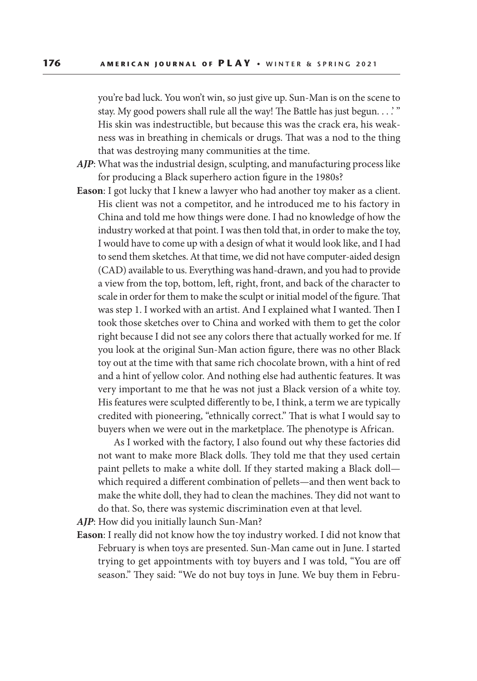you're bad luck. You won't win, so just give up. Sun-Man is on the scene to stay. My good powers shall rule all the way! The Battle has just begun. . . .' " His skin was indestructible, but because this was the crack era, his weakness was in breathing in chemicals or drugs. That was a nod to the thing that was destroying many communities at the time.

- *AJP*: What was the industrial design, sculpting, and manufacturing process like for producing a Black superhero action figure in the 1980s?
- **Eason**: I got lucky that I knew a lawyer who had another toy maker as a client. His client was not a competitor, and he introduced me to his factory in China and told me how things were done. I had no knowledge of how the industry worked at that point. I was then told that, in order to make the toy, I would have to come up with a design of what it would look like, and I had to send them sketches. At that time, we did not have computer-aided design (CAD) available to us. Everything was hand-drawn, and you had to provide a view from the top, bottom, left, right, front, and back of the character to scale in order for them to make the sculpt or initial model of the figure. That was step 1. I worked with an artist. And I explained what I wanted. Then I took those sketches over to China and worked with them to get the color right because I did not see any colors there that actually worked for me. If you look at the original Sun-Man action figure, there was no other Black toy out at the time with that same rich chocolate brown, with a hint of red and a hint of yellow color. And nothing else had authentic features. It was very important to me that he was not just a Black version of a white toy. His features were sculpted differently to be, I think, a term we are typically credited with pioneering, "ethnically correct." That is what I would say to buyers when we were out in the marketplace. The phenotype is African.

 As I worked with the factory, I also found out why these factories did not want to make more Black dolls. They told me that they used certain paint pellets to make a white doll. If they started making a Black doll which required a different combination of pellets—and then went back to make the white doll, they had to clean the machines. They did not want to do that. So, there was systemic discrimination even at that level.

*AJP*: How did you initially launch Sun-Man?

**Eason**: I really did not know how the toy industry worked. I did not know that February is when toys are presented. Sun-Man came out in June. I started trying to get appointments with toy buyers and I was told, "You are off season." They said: "We do not buy toys in June. We buy them in Febru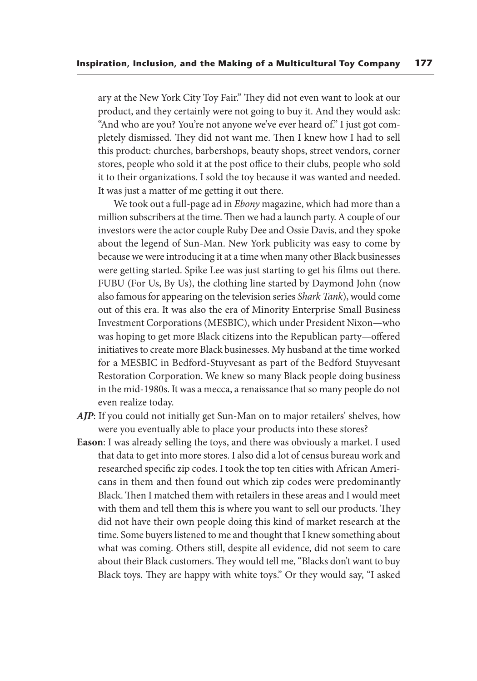ary at the New York City Toy Fair." They did not even want to look at our product, and they certainly were not going to buy it. And they would ask: "And who are you? You're not anyone we've ever heard of." I just got completely dismissed. They did not want me. Then I knew how I had to sell this product: churches, barbershops, beauty shops, street vendors, corner stores, people who sold it at the post office to their clubs, people who sold it to their organizations. I sold the toy because it was wanted and needed. It was just a matter of me getting it out there.

 We took out a full-page ad in *Ebony* magazine, which had more than a million subscribers at the time. Then we had a launch party. A couple of our investors were the actor couple Ruby Dee and Ossie Davis, and they spoke about the legend of Sun-Man. New York publicity was easy to come by because we were introducing it at a time when many other Black businesses were getting started. Spike Lee was just starting to get his films out there. FUBU (For Us, By Us), the clothing line started by Daymond John (now also famous for appearing on the television series *Shark Tank*), would come out of this era. It was also the era of Minority Enterprise Small Business Investment Corporations (MESBIC), which under President Nixon—who was hoping to get more Black citizens into the Republican party—offered initiatives to create more Black businesses. My husband at the time worked for a MESBIC in Bedford-Stuyvesant as part of the Bedford Stuyvesant Restoration Corporation. We knew so many Black people doing business in the mid-1980s. It was a mecca, a renaissance that so many people do not even realize today.

- *AJP*: If you could not initially get Sun-Man on to major retailers' shelves, how were you eventually able to place your products into these stores?
- **Eason**: I was already selling the toys, and there was obviously a market. I used that data to get into more stores. I also did a lot of census bureau work and researched specific zip codes. I took the top ten cities with African Americans in them and then found out which zip codes were predominantly Black. Then I matched them with retailers in these areas and I would meet with them and tell them this is where you want to sell our products. They did not have their own people doing this kind of market research at the time. Some buyers listened to me and thought that I knew something about what was coming. Others still, despite all evidence, did not seem to care about their Black customers. They would tell me, "Blacks don't want to buy Black toys. They are happy with white toys." Or they would say, "I asked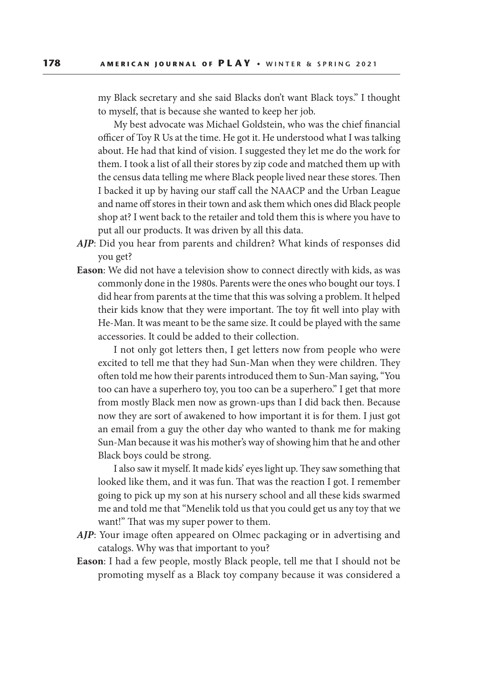my Black secretary and she said Blacks don't want Black toys." I thought to myself, that is because she wanted to keep her job.

 My best advocate was Michael Goldstein, who was the chief financial officer of Toy R Us at the time. He got it. He understood what I was talking about. He had that kind of vision. I suggested they let me do the work for them. I took a list of all their stores by zip code and matched them up with the census data telling me where Black people lived near these stores. Then I backed it up by having our staff call the NAACP and the Urban League and name off stores in their town and ask them which ones did Black people shop at? I went back to the retailer and told them this is where you have to put all our products. It was driven by all this data.

- *AJP*: Did you hear from parents and children? What kinds of responses did you get?
- **Eason**: We did not have a television show to connect directly with kids, as was commonly done in the 1980s. Parents were the ones who bought our toys. I did hear from parents at the time that this was solving a problem. It helped their kids know that they were important. The toy fit well into play with He-Man. It was meant to be the same size. It could be played with the same accessories. It could be added to their collection.

 I not only got letters then, I get letters now from people who were excited to tell me that they had Sun-Man when they were children. They often told me how their parents introduced them to Sun-Man saying, "You too can have a superhero toy, you too can be a superhero." I get that more from mostly Black men now as grown-ups than I did back then. Because now they are sort of awakened to how important it is for them. I just got an email from a guy the other day who wanted to thank me for making Sun-Man because it was his mother's way of showing him that he and other Black boys could be strong.

 I also saw it myself. It made kids' eyes light up. They saw something that looked like them, and it was fun. That was the reaction I got. I remember going to pick up my son at his nursery school and all these kids swarmed me and told me that "Menelik told us that you could get us any toy that we want!" That was my super power to them.

- *AJP*: Your image often appeared on Olmec packaging or in advertising and catalogs. Why was that important to you?
- **Eason**: I had a few people, mostly Black people, tell me that I should not be promoting myself as a Black toy company because it was considered a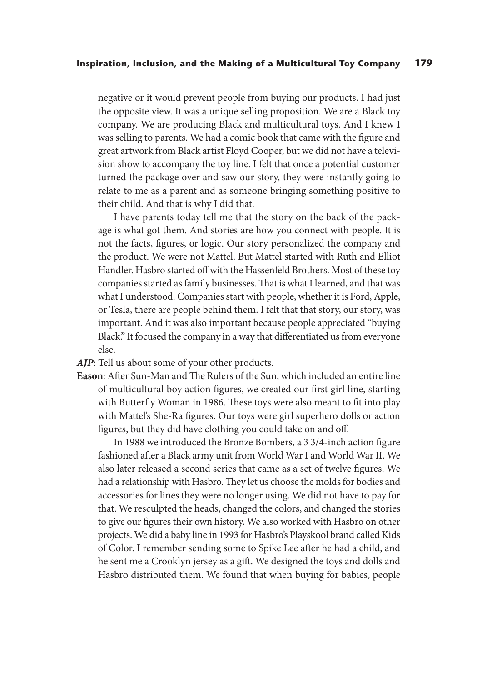negative or it would prevent people from buying our products. I had just the opposite view. It was a unique selling proposition. We are a Black toy company. We are producing Black and multicultural toys. And I knew I was selling to parents. We had a comic book that came with the figure and great artwork from Black artist Floyd Cooper, but we did not have a television show to accompany the toy line. I felt that once a potential customer turned the package over and saw our story, they were instantly going to relate to me as a parent and as someone bringing something positive to their child. And that is why I did that.

 I have parents today tell me that the story on the back of the package is what got them. And stories are how you connect with people. It is not the facts, figures, or logic. Our story personalized the company and the product. We were not Mattel. But Mattel started with Ruth and Elliot Handler. Hasbro started off with the Hassenfeld Brothers. Most of these toy companies started as family businesses. That is what I learned, and that was what I understood. Companies start with people, whether it is Ford, Apple, or Tesla, there are people behind them. I felt that that story, our story, was important. And it was also important because people appreciated "buying Black." It focused the company in a way that differentiated us from everyone else.

- *AJP*: Tell us about some of your other products.
- **Eason**: After Sun-Man and The Rulers of the Sun, which included an entire line of multicultural boy action figures, we created our first girl line, starting with Butterfly Woman in 1986. These toys were also meant to fit into play with Mattel's She-Ra figures. Our toys were girl superhero dolls or action figures, but they did have clothing you could take on and off.

 In 1988 we introduced the Bronze Bombers, a 3 3/4-inch action figure fashioned after a Black army unit from World War I and World War II. We also later released a second series that came as a set of twelve figures. We had a relationship with Hasbro. They let us choose the molds for bodies and accessories for lines they were no longer using. We did not have to pay for that. We resculpted the heads, changed the colors, and changed the stories to give our figures their own history. We also worked with Hasbro on other projects. We did a baby line in 1993 for Hasbro's Playskool brand called Kids of Color. I remember sending some to Spike Lee after he had a child, and he sent me a Crooklyn jersey as a gift. We designed the toys and dolls and Hasbro distributed them. We found that when buying for babies, people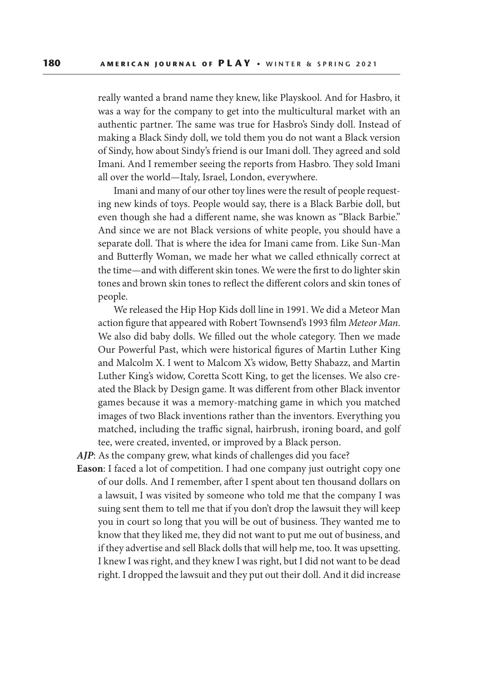really wanted a brand name they knew, like Playskool. And for Hasbro, it was a way for the company to get into the multicultural market with an authentic partner. The same was true for Hasbro's Sindy doll. Instead of making a Black Sindy doll, we told them you do not want a Black version of Sindy, how about Sindy's friend is our Imani doll. They agreed and sold Imani. And I remember seeing the reports from Hasbro. They sold Imani all over the world—Italy, Israel, London, everywhere.

 Imani and many of our other toy lines were the result of people requesting new kinds of toys. People would say, there is a Black Barbie doll, but even though she had a different name, she was known as "Black Barbie." And since we are not Black versions of white people, you should have a separate doll. That is where the idea for Imani came from. Like Sun-Man and Butterfly Woman, we made her what we called ethnically correct at the time—and with different skin tones. We were the first to do lighter skin tones and brown skin tones to reflect the different colors and skin tones of people.

 We released the Hip Hop Kids doll line in 1991. We did a Meteor Man action figure that appeared with Robert Townsend's 1993 film *Meteor Man*. We also did baby dolls. We filled out the whole category. Then we made Our Powerful Past, which were historical figures of Martin Luther King and Malcolm X. I went to Malcom X's widow, Betty Shabazz, and Martin Luther King's widow, Coretta Scott King, to get the licenses. We also created the Black by Design game. It was different from other Black inventor games because it was a memory-matching game in which you matched images of two Black inventions rather than the inventors. Everything you matched, including the traffic signal, hairbrush, ironing board, and golf tee, were created, invented, or improved by a Black person.

AJP: As the company grew, what kinds of challenges did you face?

**Eason**: I faced a lot of competition. I had one company just outright copy one of our dolls. And I remember, after I spent about ten thousand dollars on a lawsuit, I was visited by someone who told me that the company I was suing sent them to tell me that if you don't drop the lawsuit they will keep you in court so long that you will be out of business. They wanted me to know that they liked me, they did not want to put me out of business, and if they advertise and sell Black dolls that will help me, too. It was upsetting. I knew I was right, and they knew I was right, but I did not want to be dead right. I dropped the lawsuit and they put out their doll. And it did increase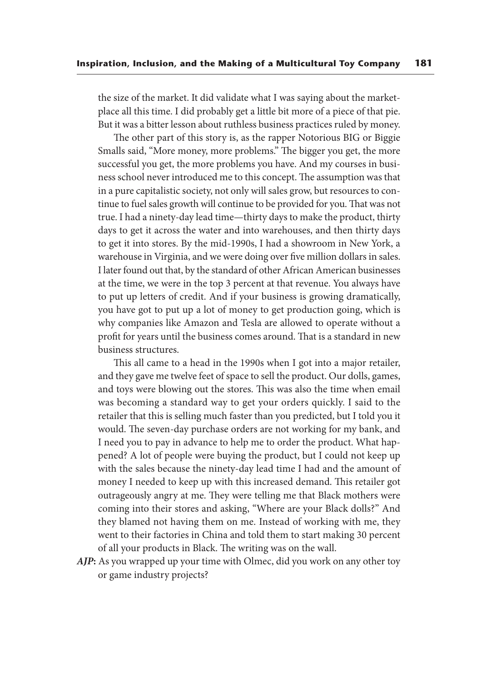the size of the market. It did validate what I was saying about the marketplace all this time. I did probably get a little bit more of a piece of that pie. But it was a bitter lesson about ruthless business practices ruled by money.

 The other part of this story is, as the rapper Notorious BIG or Biggie Smalls said, "More money, more problems." The bigger you get, the more successful you get, the more problems you have. And my courses in business school never introduced me to this concept. The assumption was that in a pure capitalistic society, not only will sales grow, but resources to continue to fuel sales growth will continue to be provided for you. That was not true. I had a ninety-day lead time—thirty days to make the product, thirty days to get it across the water and into warehouses, and then thirty days to get it into stores. By the mid-1990s, I had a showroom in New York, a warehouse in Virginia, and we were doing over five million dollars in sales. I later found out that, by the standard of other African American businesses at the time, we were in the top 3 percent at that revenue. You always have to put up letters of credit. And if your business is growing dramatically, you have got to put up a lot of money to get production going, which is why companies like Amazon and Tesla are allowed to operate without a profit for years until the business comes around. That is a standard in new business structures.

 This all came to a head in the 1990s when I got into a major retailer, and they gave me twelve feet of space to sell the product. Our dolls, games, and toys were blowing out the stores. This was also the time when email was becoming a standard way to get your orders quickly. I said to the retailer that this is selling much faster than you predicted, but I told you it would. The seven-day purchase orders are not working for my bank, and I need you to pay in advance to help me to order the product. What happened? A lot of people were buying the product, but I could not keep up with the sales because the ninety-day lead time I had and the amount of money I needed to keep up with this increased demand. This retailer got outrageously angry at me. They were telling me that Black mothers were coming into their stores and asking, "Where are your Black dolls?" And they blamed not having them on me. Instead of working with me, they went to their factories in China and told them to start making 30 percent of all your products in Black. The writing was on the wall.

*AJP***:** As you wrapped up your time with Olmec, did you work on any other toy or game industry projects?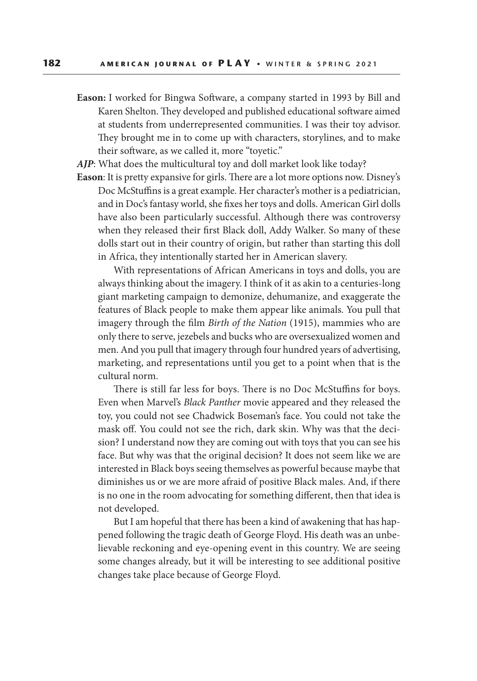**Eason:** I worked for Bingwa Software, a company started in 1993 by Bill and Karen Shelton. They developed and published educational software aimed at students from underrepresented communities. I was their toy advisor. They brought me in to come up with characters, storylines, and to make their software, as we called it, more "toyetic."

AJP: What does the multicultural toy and doll market look like today?

**Eason**: It is pretty expansive for girls. There are a lot more options now. Disney's Doc McStuffins is a great example. Her character's mother is a pediatrician, and in Doc's fantasy world, she fixes her toys and dolls. American Girl dolls have also been particularly successful. Although there was controversy when they released their first Black doll, Addy Walker. So many of these dolls start out in their country of origin, but rather than starting this doll in Africa, they intentionally started her in American slavery.

 With representations of African Americans in toys and dolls, you are always thinking about the imagery. I think of it as akin to a centuries-long giant marketing campaign to demonize, dehumanize, and exaggerate the features of Black people to make them appear like animals. You pull that imagery through the film *Birth of the Nation* (1915), mammies who are only there to serve, jezebels and bucks who are oversexualized women and men. And you pull that imagery through four hundred years of advertising, marketing, and representations until you get to a point when that is the cultural norm.

 There is still far less for boys. There is no Doc McStuffins for boys. Even when Marvel's *Black Panther* movie appeared and they released the toy, you could not see Chadwick Boseman's face. You could not take the mask off. You could not see the rich, dark skin. Why was that the decision? I understand now they are coming out with toys that you can see his face. But why was that the original decision? It does not seem like we are interested in Black boys seeing themselves as powerful because maybe that diminishes us or we are more afraid of positive Black males. And, if there is no one in the room advocating for something different, then that idea is not developed.

 But I am hopeful that there has been a kind of awakening that has happened following the tragic death of George Floyd. His death was an unbelievable reckoning and eye-opening event in this country. We are seeing some changes already, but it will be interesting to see additional positive changes take place because of George Floyd.